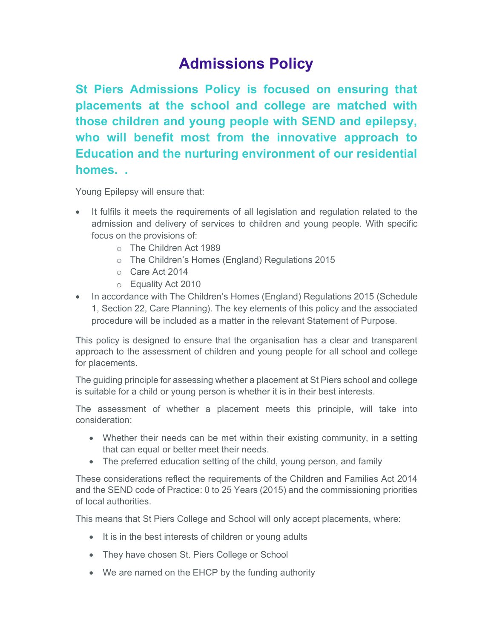## Admissions Policy

St Piers Admissions Policy is focused on ensuring that placements at the school and college are matched with those children and young people with SEND and epilepsy, who will benefit most from the innovative approach to Education and the nurturing environment of our residential homes. .

Young Epilepsy will ensure that:

- It fulfils it meets the requirements of all legislation and regulation related to the admission and delivery of services to children and young people. With specific focus on the provisions of:
	- o The Children Act 1989
	- o The Children's Homes (England) Regulations 2015
	- o Care Act 2014
	- o Equality Act 2010
- In accordance with The Children's Homes (England) Regulations 2015 (Schedule 1, Section 22, Care Planning). The key elements of this policy and the associated procedure will be included as a matter in the relevant Statement of Purpose.

This policy is designed to ensure that the organisation has a clear and transparent approach to the assessment of children and young people for all school and college for placements.

The guiding principle for assessing whether a placement at St Piers school and college is suitable for a child or young person is whether it is in their best interests.

The assessment of whether a placement meets this principle, will take into consideration:

- Whether their needs can be met within their existing community, in a setting that can equal or better meet their needs.
- The preferred education setting of the child, young person, and family

These considerations reflect the requirements of the Children and Families Act 2014 and the SEND code of Practice: 0 to 25 Years (2015) and the commissioning priorities of local authorities.

This means that St Piers College and School will only accept placements, where:

- It is in the best interests of children or young adults
- They have chosen St. Piers College or School
- We are named on the EHCP by the funding authority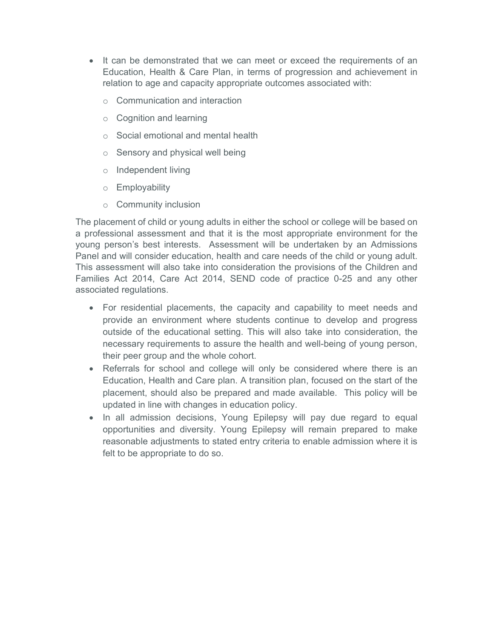- It can be demonstrated that we can meet or exceed the requirements of an Education, Health & Care Plan, in terms of progression and achievement in relation to age and capacity appropriate outcomes associated with:
	- o Communication and interaction
	- o Cognition and learning
	- o Social emotional and mental health
	- o Sensory and physical well being
	- o Independent living
	- o Employability
	- o Community inclusion

The placement of child or young adults in either the school or college will be based on a professional assessment and that it is the most appropriate environment for the young person's best interests. Assessment will be undertaken by an Admissions Panel and will consider education, health and care needs of the child or young adult. This assessment will also take into consideration the provisions of the Children and Families Act 2014, Care Act 2014, SEND code of practice 0-25 and any other associated regulations.

- For residential placements, the capacity and capability to meet needs and provide an environment where students continue to develop and progress outside of the educational setting. This will also take into consideration, the necessary requirements to assure the health and well-being of young person, their peer group and the whole cohort.
- Referrals for school and college will only be considered where there is an Education, Health and Care plan. A transition plan, focused on the start of the placement, should also be prepared and made available. This policy will be updated in line with changes in education policy.
- In all admission decisions, Young Epilepsy will pay due regard to equal opportunities and diversity. Young Epilepsy will remain prepared to make reasonable adjustments to stated entry criteria to enable admission where it is felt to be appropriate to do so.